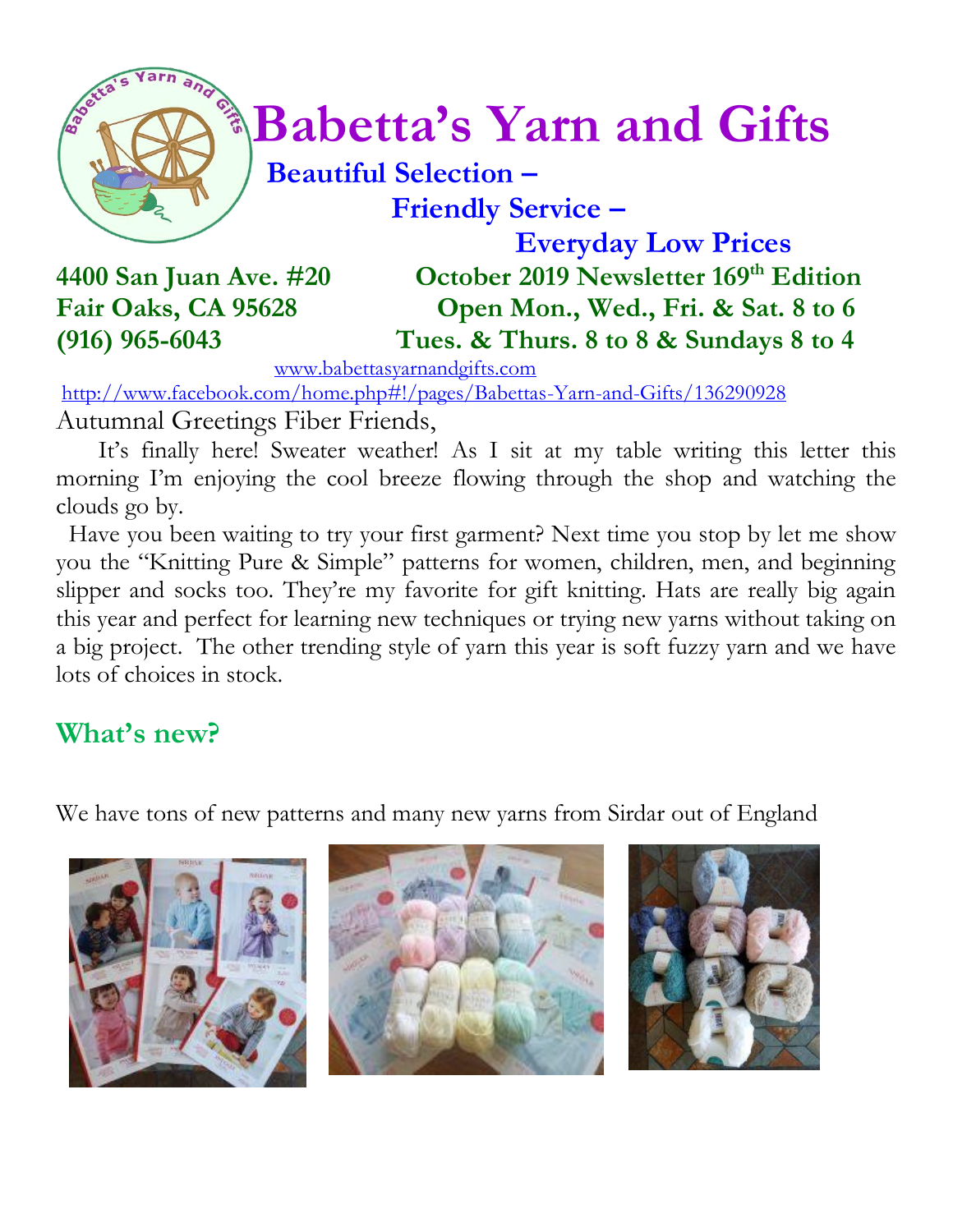

# $\int_{a}^{\infty}$  **Babetta's Yarn and Gifts**

#### **Beautiful Selection – Friendly Service –**

 **Everyday Low Prices 4400 San Juan Ave. #20 October 2019 Newsletter 169 th Edition Fair Oaks, CA 95628 Open Mon., Wed., Fri. & Sat. 8 to 6 (916) 965-6043 Tues. & Thurs. 8 to 8 & Sundays 8 to 4**

[www.babettasyarnandgifts.com](http://www.babettasyarnandgifts.com/)

<http://www.facebook.com/home.php#!/pages/Babettas-Yarn-and-Gifts/136290928> Autumnal Greetings Fiber Friends,

 It's finally here! Sweater weather! As I sit at my table writing this letter this morning I'm enjoying the cool breeze flowing through the shop and watching the clouds go by.

 Have you been waiting to try your first garment? Next time you stop by let me show you the "Knitting Pure & Simple" patterns for women, children, men, and beginning slipper and socks too. They're my favorite for gift knitting. Hats are really big again this year and perfect for learning new techniques or trying new yarns without taking on a big project. The other trending style of yarn this year is soft fuzzy yarn and we have lots of choices in stock.

### **What's new?**

We have tons of new patterns and many new yarns from Sirdar out of England





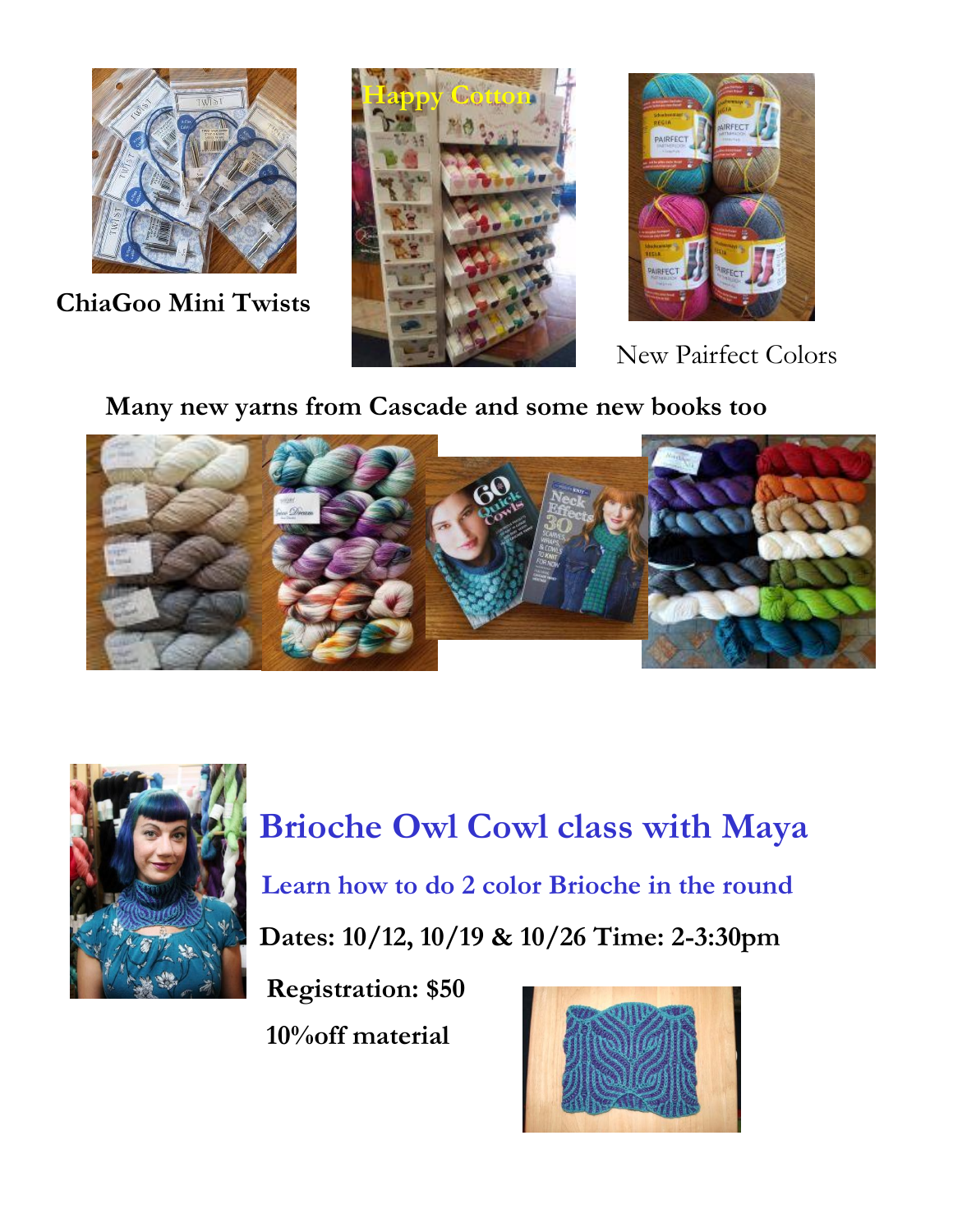

**ChiaGoo Mini Twists**





New Pairfect Colors

 **Many new yarns from Cascade and some new books too**





 **Brioche Owl Cowl class with Maya Learn how to do 2 color Brioche in the round Dates: 10/12, 10/19 & 10/26 Time: 2-3:30pm**

 **Registration: \$50 10%off material**

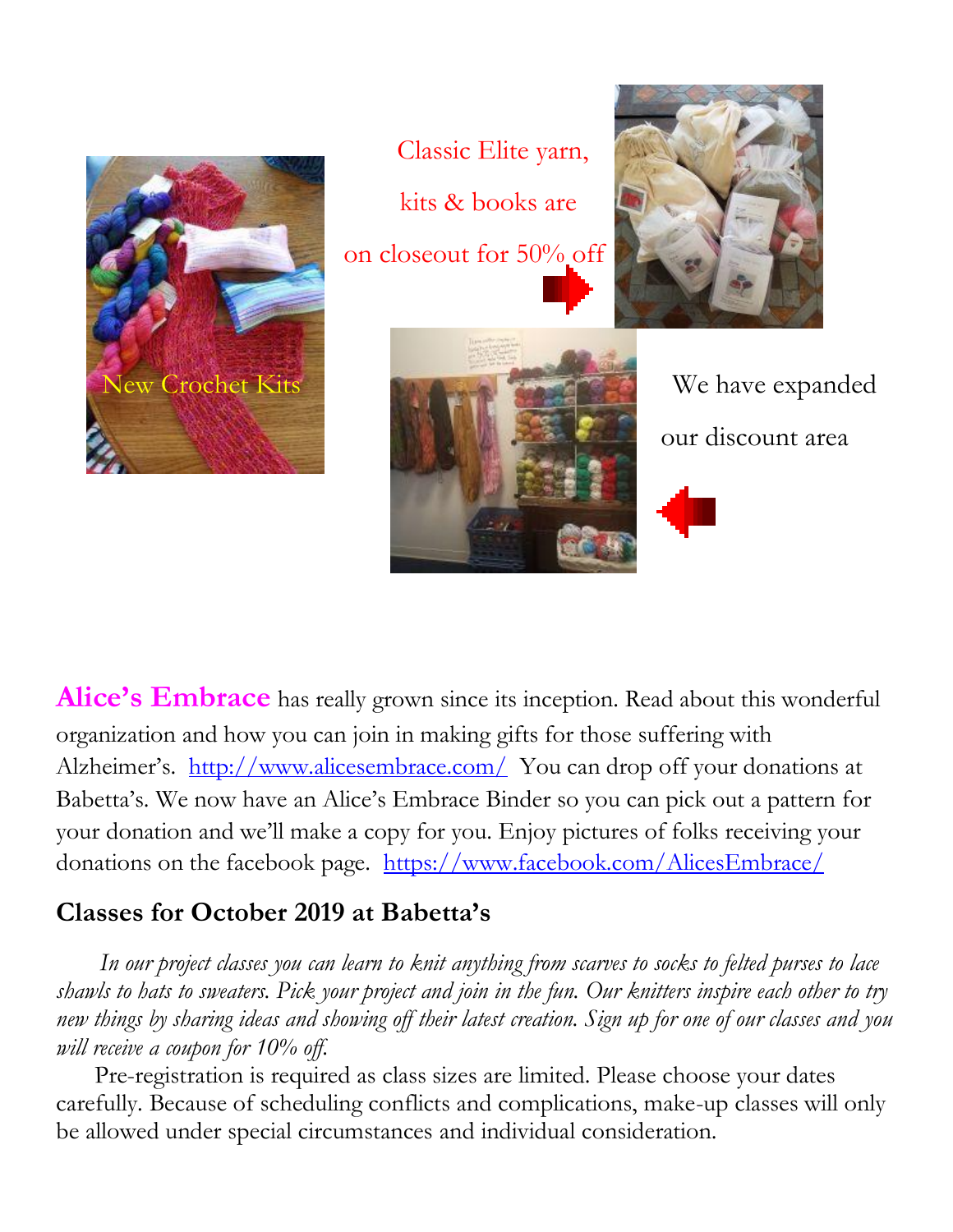

Classic Elite yarn, kits & books are on closeout for 50% off





our discount area

**Alice's Embrace** has really grown since its inception. Read about this wonderful organization and how you can join in making gifts for those suffering with Alzheimer's. <http://www.alicesembrace.com/>You can drop off your donations at Babetta's. We now have an Alice's Embrace Binder so you can pick out a pattern for your donation and we'll make a copy for you. Enjoy pictures of folks receiving your donations on the facebook page. <https://www.facebook.com/AlicesEmbrace/>

#### **Classes for October 2019 at Babetta's**

 *In our project classes you can learn to knit anything from scarves to socks to felted purses to lace shawls to hats to sweaters. Pick your project and join in the fun. Our knitters inspire each other to try new things by sharing ideas and showing off their latest creation. Sign up for one of our classes and you will receive a coupon for 10% off.*

Pre-registration is required as class sizes are limited. Please choose your dates carefully. Because of scheduling conflicts and complications, make-up classes will only be allowed under special circumstances and individual consideration.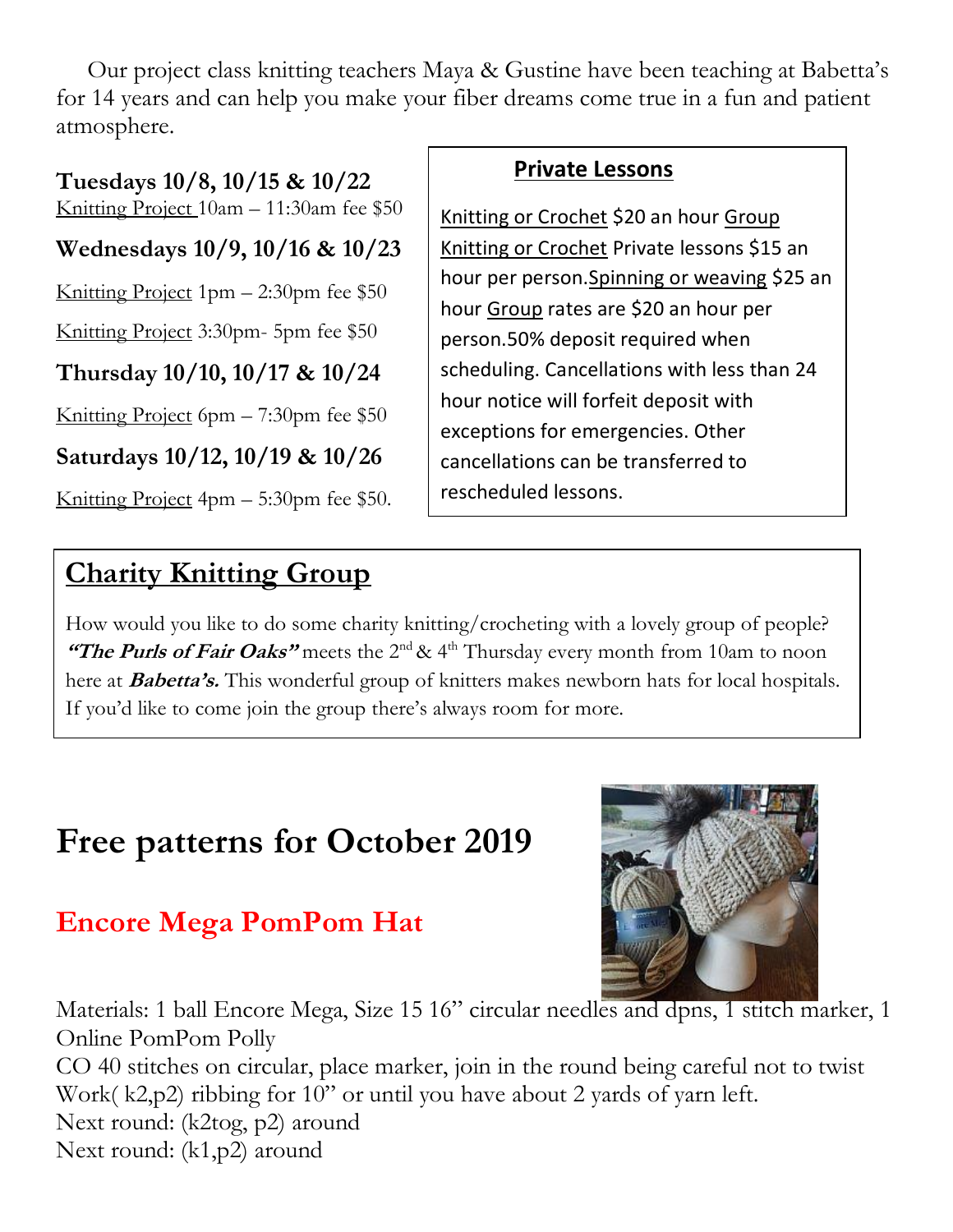Our project class knitting teachers Maya & Gustine have been teaching at Babetta's for 14 years and can help you make your fiber dreams come true in a fun and patient atmosphere.

**Tuesdays 10/8, 10/15 & 10/22**

Knitting Project 10am – 11:30am fee \$50

**Wednesdays 10/9, 10/16 & 10/23**

Knitting Project  $1pm - 2:30pm$  fee \$50

Knitting Project 3:30pm- 5pm fee \$50

**Thursday 10/10, 10/17 & 10/24**

Knitting Project 6pm – 7:30pm fee \$50

**Saturdays 10/12, 10/19 & 10/26**

Knitting Project 4pm – 5:30pm fee \$50.

## **Charity Knitting Group**

#### **Private Lessons**

Knitting or Crochet \$20 an hour Group Knitting or Crochet Private lessons \$15 an hour per person.Spinning or weaving \$25 an hour Group rates are \$20 an hour per person.50% deposit required when scheduling. Cancellations with less than 24 hour notice will forfeit deposit with exceptions for emergencies. Other cancellations can be transferred to rescheduled lessons.

How would you like to do some charity knitting/crocheting with a lovely group of people? **"The Purls of Fair Oaks"** meets the 2<sup>nd</sup> & 4<sup>th</sup> Thursday every month from 10am to noon here at **Babetta's.** This wonderful group of knitters makes newborn hats for local hospitals. If you'd like to come join the group there's always room for more.

## **Free patterns for October 2019**

### **Encore Mega PomPom Hat**



Materials: 1 ball Encore Mega, Size 15 16" circular needles and dpns, 1 stitch marker, 1 Online PomPom Polly CO 40 stitches on circular, place marker, join in the round being careful not to twist Work( k2,p2) ribbing for 10" or until you have about 2 yards of yarn left. Next round: (k2tog, p2) around Next round: (k1,p2) around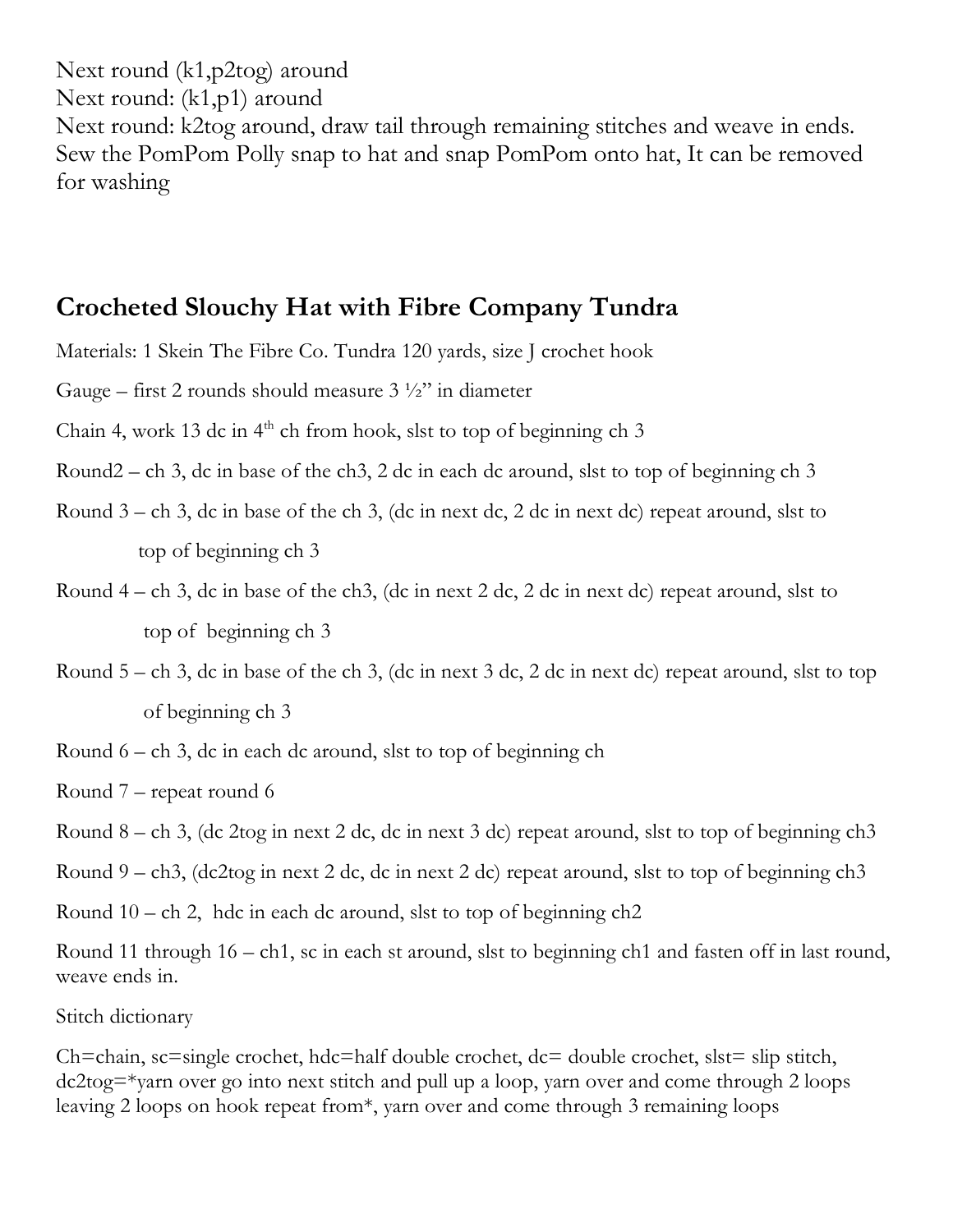Next round (k1,p2tog) around Next round: (k1,p1) around Next round: k2tog around, draw tail through remaining stitches and weave in ends. Sew the PomPom Polly snap to hat and snap PomPom onto hat, It can be removed for washing

#### **Crocheted Slouchy Hat with Fibre Company Tundra**

Materials: 1 Skein The Fibre Co. Tundra 120 yards, size J crochet hook

Gauge – first 2 rounds should measure  $3\frac{1}{2}$ " in diameter

- Chain 4, work 13 dc in  $4<sup>th</sup>$  ch from hook, slst to top of beginning ch 3
- Round2 ch 3, dc in base of the ch3, 2 dc in each dc around, slst to top of beginning ch 3
- Round 3 ch 3, dc in base of the ch 3, (dc in next dc, 2 dc in next dc) repeat around, slst to top of beginning ch 3
- Round  $4 ch$  3, dc in base of the ch3, (dc in next 2 dc, 2 dc in next dc) repeat around, slst to top of beginning ch 3
- Round  $5 -$ ch 3, dc in base of the ch 3, (dc in next 3 dc, 2 dc in next dc) repeat around, slst to top of beginning ch 3
- Round  $6 ch$  3, dc in each dc around, slst to top of beginning ch
- Round 7 repeat round 6
- Round 8 ch 3, (dc 2tog in next 2 dc, dc in next 3 dc) repeat around, slst to top of beginning ch3
- Round 9 ch3, (dc2tog in next 2 dc, dc in next 2 dc) repeat around, slst to top of beginning ch3
- Round 10 ch 2, hdc in each dc around, slst to top of beginning ch2

Round 11 through 16 – ch1, sc in each st around, slst to beginning ch1 and fasten off in last round, weave ends in.

Stitch dictionary

Ch=chain, sc=single crochet, hdc=half double crochet, dc= double crochet, slst= slip stitch, dc2tog=\*yarn over go into next stitch and pull up a loop, yarn over and come through 2 loops leaving 2 loops on hook repeat from\*, yarn over and come through 3 remaining loops